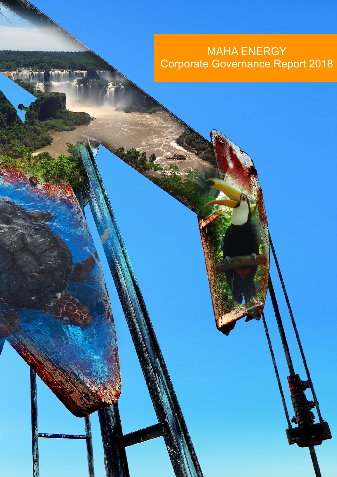# MAHA ENERGY Corporate Governance Report 2018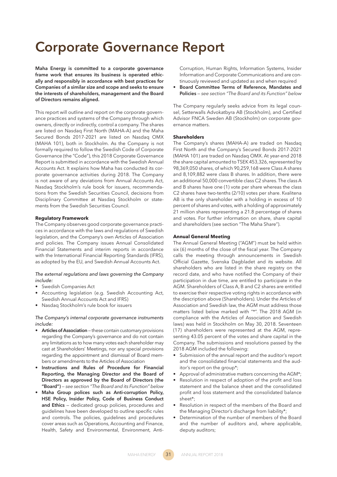## **Corporate Governance Report**

**Maha Energy is committed to a corporate governance frame work that ensures its business is operated ethically and responsibly in accordance with best practices for Companies of a similar size and scope and seeks to ensure the interests of shareholders, management and the Board of Directors remains aligned.** 

This report will outline and report on the corporate governance practices and systems of the Company through which owners, directly or indirectly, control a company. The shares are listed on Nasdaq First North (MAHA-A) and the Maha Secured Bonds 2017-2021 are listed on Nasdaq OMX (MAHA 101), both in Stockholm. As the Company is not formally required to follow the Swedish Code of Corporate Governance (the "Code"), this 2018 Corporate Governance Report is submitted in accordance with the Swedish Annual Accounts Act. It explains how Maha has conducted its corporate governance activities during 2018. The Company is not aware of any deviations from Annual Accounts Act, Nasdaq Stockholm's rule book for issuers, recommendations from the Swedish Securities Council, decisions from Disciplinary Committee at Nasdaq Stockholm or statements from the Swedish Securities Council.

## **Regulatory Framework**

The Company observes good corporate governance practices in accordance with the laws and regulations of Swedish legislation, and the Company's own Articles of Association and policies. The Company issues Annual Consolidated Financial Statements and interim reports in accordance with the International Financial Reporting Standards (IFRS), as adopted by the EU, and Swedish Annual Accounts Act.

## *The external regulations and laws governing the Company include:*

- Swedish Companies Act
- Accounting legislation (e.g. Swedish Accounting Act, Swedish Annual Accounts Act and IFRS)
- Nasdaq Stockholm's rule book for issuers

#### *The Company's internal corporate governance instruments include:*

- **Articles of Association**  these contain customary provisions regarding the Company's governance and do not contain any limitations as to how many votes each shareholder may cast at Shareholders' Meetings, nor any special provisions regarding the appointment and dismissal of Board members or amendments to the Articles of Association
- **Instructions and Rules of Procedure for Financial Reporting, the Managing Director and the Board of Directors as approved by the Board of Directors (the**  "Board") – see section "The Board and its Function" below
- **Maha Group polices such as Anti-corruption Policy, HSE Policy, Insider Policy, Code of Business Conduct and Ethics** — dedicated group policies, procedures and quidelines have been developed to outline specific rules and controls. The policies, guidelines and procedures cover areas such as Operations, Accounting and Finance, Health, Safety and Environmental, Environment, Anti-

Corruption, Human Rights, Information Systems, Insider Information and Corporate Communications and are continuously reviewed and updated as and when required

• **Board Committee Terms of Reference, Mandates and Policies** – see section "The Board and its Function" below

The Company regularly seeks advice from its legal counsel, Setterwalls Advokatbyra AB (Stockholm), and Certified Advisor FNCA Sweden AB (Stockholm) on corporate governance matters.

#### **Shareholders**

The Company's shares (MAHA-A) are traded on Nasdaq First North and the Company's Secured Bonds 2017-2021 (MAHA 101) are traded on Nasdaq OMX. At year-end 2018 the share capital amounted to TSEK 453,326, represented by 98,369,050 shares, of which 90,259,168 were Class A shares and 8,109,882 were class B shares. In addition, there were an additional 50,000 convertible class C2 shares. The class A and B shares have one (1) vote per share whereas the class C2 shares have two-tenths (2/10) votes per share. Kvalitena AB is the only shareholder with a holding in excess of 10 percent of shares and votes, with a holding of approximately 21 million shares representing a 21.8 percentage of shares and votes. For further information on share, share capital and shareholders (see section "The Maha Share").

#### **Annual General Meeting**

The Annual General Meeting ("AGM") must be held within six (6) months of the close of the fiscal year. The Company calls the meeting through announcements in Swedish Official Gazette, Svenska Dagbladet and its website. All shareholders who are listed in the share registry on the record date, and who have notified the Company of their participation in due time, are entitled to participate in the AGM. Shareholders of Class A, B and C2 shares are entitled to exercise their respective voting rights in accordance with the description above (Shareholders). Under the Articles of Association and Swedish law, the AGM must address those matters listed below marked with "\*". The 2018 AGM (in compliance with the Articles of Association and Swedish laws) was held in Stockholm on May 30, 2018. Seventeen (17) shareholders were represented at the AGM, representing 43.05 percent of the votes and share capital in the Company. The submissions and resolutions passed by the 2018 AGM included the following:

- Submission of the annual report and the auditor's report and the consolidated financial statements and the auditor's report on the group\*;
- Approval of administrative matters concerning the  $AGM^*$ ;
- Resolution in respect of adoption of the profit and loss statement and the balance sheet and the consolidated profit and loss statement and the consolidated balance sheet\*:
- Resolution in respect of the members of the Board and the Managing Director's discharge from liability\*;
- Determination of the number of members of the Board and the number of auditors and, where applicable, deputy auditors;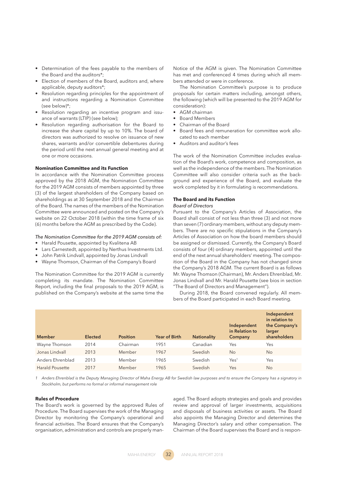- Determination of the fees payable to the members of the Board and the auditors\*;
- Election of members of the Board, auditors and, where applicable, deputy auditors\*;
- Resolution regarding principles for the appointment of and instructions regarding a Nomination Committee (see below)\*:
- Resolution regarding an incentive program and issuance of warrants (LTIP) (see below);
- Resolution regarding authorisation for the Board to increase the share capital by up to 10%. The board of directors was authorized to resolve on issuance of new shares, warrants and/or convertible debentures during the period until the next annual general meeting and at one or more occasions.

## **Nomination Committee and its Function**

In accordance with the Nomination Committee process approved by the 2018 AGM, the Nomination Committee for the 2019 AGM consists of members appointed by three (3) of the largest shareholders of the Company based on shareholdings as at 30 September 2018 and the Chairman of the Board. The names of the members of the Nomination Committee were announced and posted on the Company's website on 22 October 2018 (within the time frame of six (6) months before the AGM as prescribed by the Code).

#### *The Nomination Committee for the 2019 AGM consists of:*

- Harald Pousette, appointed by Kvalitena AB
- Lars Carnestedt, appointed by Nerthus Investments Ltd.
- John Patrik Lindvall, appointed by Jonas Lindvall
- Wayne Thomson, Chairman of the Company's Board

The Nomination Committee for the 2019 AGM is currently completing its mandate. The Nomination Committee Report, including the final proposals to the 2019 AGM, is published on the Company's website at the same time the

Notice of the AGM is given. The Nomination Committee has met and conferenced 4 times during which all members attended or were in conference.

The Nomination Committee's purpose is to produce proposals for certain matters including, amongst others, the following (which will be presented to the 2019 AGM for consideration):

- AGM chairman
- Board Members
- Chairman of the Board
- Board fees and remuneration for committee work allocated to each member
- Auditors and auditor's fees

The work of the Nomination Committee includes evaluation of the Board's work, competence and composition, as well as the independence of the members. The Nomination Committee will also consider criteria such as the background and experience of the Board, and evaluate the work completed by it in formulating is recommendations.

## **The Board and its Function**

## *Board of Directors*

Pursuant to the Company's Articles of Association, the Board shall consist of not less than three (3) and not more than seven (7) ordinary members, without any deputy members. There are no specific stipulations in the Company's Articles of Association on how the board members should be assigned or dismissed. Currently, the Company's Board consists of four (4) ordinary members, appointed until the end of the next annual shareholders' meeting. The composition of the Board in the Company has not changed since the Company's 2018 AGM. The current Board is as follows Mr. Wayne Thomson (Chairman), Mr. Anders Ehrenblad, Mr. Jonas Lindvall and Mr. Harald Pousette (see bios in section "The Board of Directors and Management").

During 2018, the Board convened regularly. All members of the Board participated in each Board meeting.

|                        |                |                 |                      |                    |                                          | Independent<br>in relation to           |
|------------------------|----------------|-----------------|----------------------|--------------------|------------------------------------------|-----------------------------------------|
| <b>Member</b>          | <b>Elected</b> | <b>Position</b> | <b>Year of Birth</b> | <b>Nationality</b> | Independent<br>in Relation to<br>Company | the Company's<br>larger<br>shareholders |
| Wayne Thomson          | 2014           | Chairman        | 1951                 | Canadian           | Yes                                      | Yes                                     |
| Jonas Lindvall         | 2013           | Member          | 1967                 | Swedish            | <b>No</b>                                | N <sub>o</sub>                          |
| Anders Ehrenblad       | 2013           | Member          | 1965                 | Swedish            | Yes <sup>1</sup>                         | Yes                                     |
| <b>Harald Pousette</b> | 2017           | Member          | 1965                 | Swedish            | Yes                                      | <b>No</b>                               |

1 Anders Ehrenblad is the Deputy Managing Director of Maha Energy AB for Swedish law purposes and to ensure the Company has a signatory in *Stockholm, but performs no formal or informal management role*

#### **Rules of Procedure**

The Board's work is governed by the approved Rules of Procedure. The Board supervises the work of the Managing Director by monitoring the Company's operational and financial activities. The Board ensures that the Company's organisation, administration and controls are properly man-

aged. The Board adopts strategies and goals and provides review and approval of larger investments, acquisitions and disposals of business activities or assets. The Board also appoints the Managing Director and determines the Managing Director's salary and other compensation. The Chairman of the Board supervises the Board and is respon-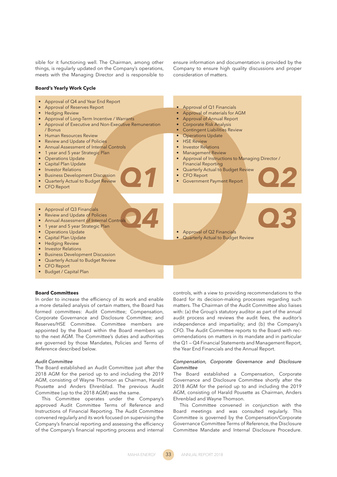sible for it functioning well. The Chairman, among other things, is regularly updated on the Company's operations, meets with the Managing Director and is responsible to

ensure information and documentation is provided by the Company to ensure high quality discussions and proper consideration of matters.

#### **Board's Yearly Work Cycle**



## **Board Committees**

In order to increase the efficiency of its work and enable a more detailed analysis of certain matters, the Board has formed committees: Audit Committee; Compensation, Corporate Governance and Disclosure Committee; and Reserves/HSE Committee. Committee members are appointed by the Board within the Board members up to the next AGM. The Committee's duties and authorities are governed by those Mandates, Policies and Terms of Reference described below.

### *Audit Committee*

The Board established an Audit Committee just after the 2018 AGM for the period up to and including the 2019 AGM, consisting of Wayne Thomson as Chairman, Harald Pousette and Anders Ehrenblad. The previous Audit Committee (up to the 2018 AGM) was the same.

This Committee operates under the Company's approved Audit Committee Terms of Reference and Instructions of Financial Reporting. The Audit Committee convened regularly and its work focused on supervising the Company's financial reporting and assessing the efficiency of the Company's financial reporting process and internal controls, with a view to providing recommendations to the Board for its decision-making processes regarding such matters. The Chairman of the Audit Committee also liaises with: (a) the Group's statutory auditor as part of the annual audit process and reviews the audit fees, the auditor's independence and impartiality; and (b) the Company's CFO. The Audit Committee reports to the Board with recommendations on matters in its mandate and in particular the Q1 — Q4 Financial Statements and Management Report, the Year End Financials and the Annual Report.

## *Compensation, Corporate Governance and Disclosure Committee*

The Board established a Compensation, Corporate Governance and Disclosure Committee shortly after the 2018 AGM for the period up to and including the 2019 AGM, consisting of Harald Pousette as Chairman, Anders Ehrenblad and Wayne Thomson.

This Committee convened in conjunction with the Board meetings and was consulted regularly. This Committee is governed by the Compensation/Corporate Governance Committee Terms of Reference, the Disclosure Committee Mandate and Internal Disclosure Procedure.